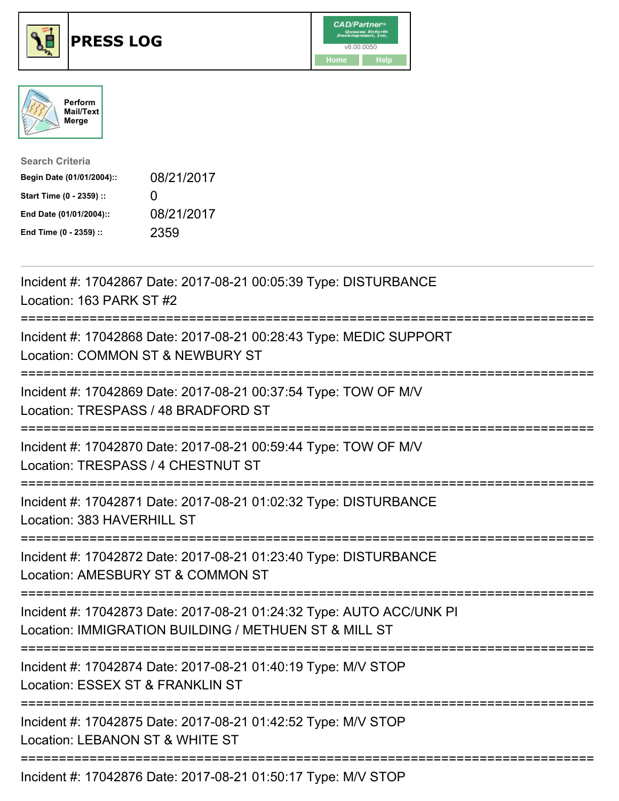





| <b>Search Criteria</b>    |                   |
|---------------------------|-------------------|
| Begin Date (01/01/2004):: | 08/21/2017        |
| Start Time (0 - 2359) ::  | $\mathbf{\Omega}$ |
| End Date (01/01/2004)::   | 08/21/2017        |
| End Time (0 - 2359) ::    | 2359              |

| Incident #: 17042867 Date: 2017-08-21 00:05:39 Type: DISTURBANCE<br>Location: 163 PARK ST #2                                                                         |
|----------------------------------------------------------------------------------------------------------------------------------------------------------------------|
| Incident #: 17042868 Date: 2017-08-21 00:28:43 Type: MEDIC SUPPORT<br>Location: COMMON ST & NEWBURY ST                                                               |
| Incident #: 17042869 Date: 2017-08-21 00:37:54 Type: TOW OF M/V<br>Location: TRESPASS / 48 BRADFORD ST                                                               |
| Incident #: 17042870 Date: 2017-08-21 00:59:44 Type: TOW OF M/V<br>Location: TRESPASS / 4 CHESTNUT ST<br>==========================                                  |
| Incident #: 17042871 Date: 2017-08-21 01:02:32 Type: DISTURBANCE<br>Location: 383 HAVERHILL ST                                                                       |
| Incident #: 17042872 Date: 2017-08-21 01:23:40 Type: DISTURBANCE<br>Location: AMESBURY ST & COMMON ST<br>===========================                                 |
| Incident #: 17042873 Date: 2017-08-21 01:24:32 Type: AUTO ACC/UNK PI<br>Location: IMMIGRATION BUILDING / METHUEN ST & MILL ST<br>----------------------------------- |
| Incident #: 17042874 Date: 2017-08-21 01:40:19 Type: M/V STOP<br>Location: ESSEX ST & FRANKLIN ST<br>:============================                                   |
| Incident #: 17042875 Date: 2017-08-21 01:42:52 Type: M/V STOP<br>Location: LEBANON ST & WHITE ST                                                                     |
| Incident #: 17042876 Date: 2017-08-21 01:50:17 Type: M/V STOP                                                                                                        |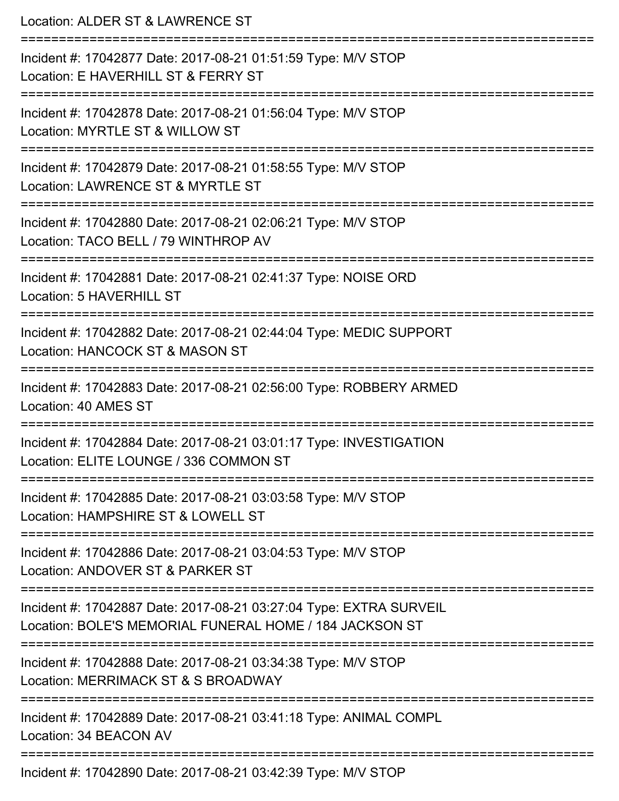Location: ALDER ST & LAWRENCE ST =========================================================================== Incident #: 17042877 Date: 2017-08-21 01:51:59 Type: M/V STOP Location: E HAVERHILL ST & FERRY ST =========================================================================== Incident #: 17042878 Date: 2017-08-21 01:56:04 Type: M/V STOP Location: MYRTLE ST & WILLOW ST =========================================================================== Incident #: 17042879 Date: 2017-08-21 01:58:55 Type: M/V STOP Location: LAWRENCE ST & MYRTLE ST =========================================================================== Incident #: 17042880 Date: 2017-08-21 02:06:21 Type: M/V STOP Location: TACO BELL / 79 WINTHROP AV =========================================================================== Incident #: 17042881 Date: 2017-08-21 02:41:37 Type: NOISE ORD Location: 5 HAVERHILL ST =========================================================================== Incident #: 17042882 Date: 2017-08-21 02:44:04 Type: MEDIC SUPPORT Location: HANCOCK ST & MASON ST =========================================================================== Incident #: 17042883 Date: 2017-08-21 02:56:00 Type: ROBBERY ARMED Location: 40 AMES ST =========================================================================== Incident #: 17042884 Date: 2017-08-21 03:01:17 Type: INVESTIGATION Location: ELITE LOUNGE / 336 COMMON ST =========================================================================== Incident #: 17042885 Date: 2017-08-21 03:03:58 Type: M/V STOP Location: HAMPSHIRF ST & LOWELL ST =========================================================================== Incident #: 17042886 Date: 2017-08-21 03:04:53 Type: M/V STOP Location: ANDOVER ST & PARKER ST =========================================================================== Incident #: 17042887 Date: 2017-08-21 03:27:04 Type: EXTRA SURVEIL Location: BOLE'S MEMORIAL FUNERAL HOME / 184 JACKSON ST =========================================================================== Incident #: 17042888 Date: 2017-08-21 03:34:38 Type: M/V STOP Location: MERRIMACK ST & S BROADWAY =========================================================================== Incident #: 17042889 Date: 2017-08-21 03:41:18 Type: ANIMAL COMPL Location: 34 BEACON AV =========================================================================== Incident #: 17042890 Date: 2017-08-21 03:42:39 Type: M/V STOP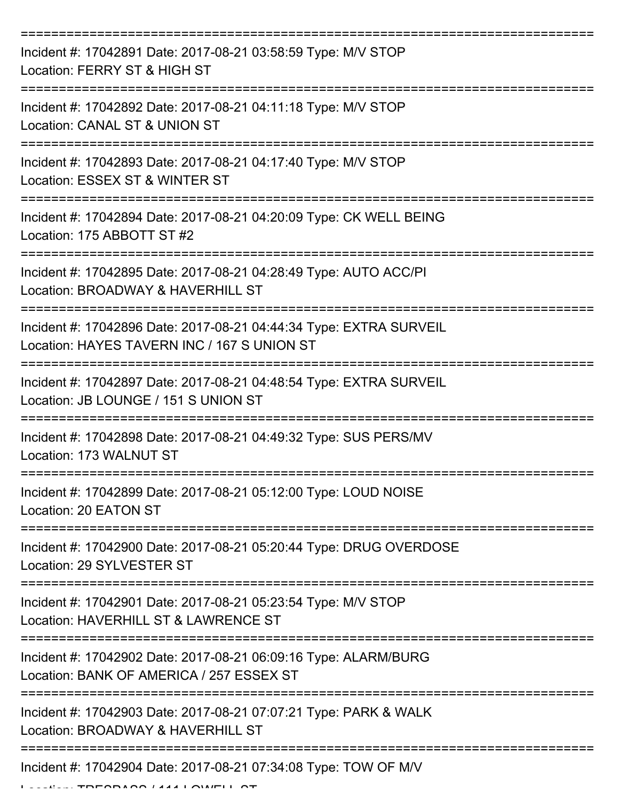| Incident #: 17042891 Date: 2017-08-21 03:58:59 Type: M/V STOP<br>Location: FERRY ST & HIGH ST                     |
|-------------------------------------------------------------------------------------------------------------------|
| Incident #: 17042892 Date: 2017-08-21 04:11:18 Type: M/V STOP<br>Location: CANAL ST & UNION ST                    |
| Incident #: 17042893 Date: 2017-08-21 04:17:40 Type: M/V STOP<br>Location: ESSEX ST & WINTER ST                   |
| Incident #: 17042894 Date: 2017-08-21 04:20:09 Type: CK WELL BEING<br>Location: 175 ABBOTT ST #2                  |
| Incident #: 17042895 Date: 2017-08-21 04:28:49 Type: AUTO ACC/PI<br>Location: BROADWAY & HAVERHILL ST             |
| Incident #: 17042896 Date: 2017-08-21 04:44:34 Type: EXTRA SURVEIL<br>Location: HAYES TAVERN INC / 167 S UNION ST |
| Incident #: 17042897 Date: 2017-08-21 04:48:54 Type: EXTRA SURVEIL<br>Location: JB LOUNGE / 151 S UNION ST        |
| Incident #: 17042898 Date: 2017-08-21 04:49:32 Type: SUS PERS/MV<br>Location: 173 WALNUT ST                       |
| Incident #: 17042899 Date: 2017-08-21 05:12:00 Type: LOUD NOISE<br>Location: 20 EATON ST                          |
| Incident #: 17042900 Date: 2017-08-21 05:20:44 Type: DRUG OVERDOSE<br>Location: 29 SYLVESTER ST                   |
| Incident #: 17042901 Date: 2017-08-21 05:23:54 Type: M/V STOP<br>Location: HAVERHILL ST & LAWRENCE ST             |
| Incident #: 17042902 Date: 2017-08-21 06:09:16 Type: ALARM/BURG<br>Location: BANK OF AMERICA / 257 ESSEX ST       |
| Incident #: 17042903 Date: 2017-08-21 07:07:21 Type: PARK & WALK<br>Location: BROADWAY & HAVERHILL ST             |
| Incident #: 17042904 Date: 2017-08-21 07:34:08 Type: TOW OF M/V                                                   |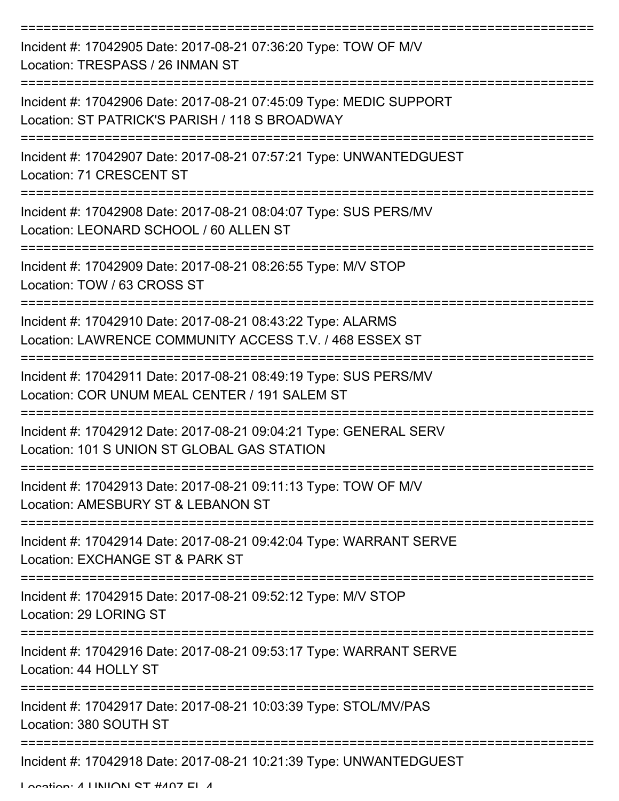| Incident #: 17042905 Date: 2017-08-21 07:36:20 Type: TOW OF M/V<br>Location: TRESPASS / 26 INMAN ST                    |
|------------------------------------------------------------------------------------------------------------------------|
| Incident #: 17042906 Date: 2017-08-21 07:45:09 Type: MEDIC SUPPORT<br>Location: ST PATRICK'S PARISH / 118 S BROADWAY   |
| Incident #: 17042907 Date: 2017-08-21 07:57:21 Type: UNWANTEDGUEST<br>Location: 71 CRESCENT ST                         |
| Incident #: 17042908 Date: 2017-08-21 08:04:07 Type: SUS PERS/MV<br>Location: LEONARD SCHOOL / 60 ALLEN ST             |
| Incident #: 17042909 Date: 2017-08-21 08:26:55 Type: M/V STOP<br>Location: TOW / 63 CROSS ST                           |
| Incident #: 17042910 Date: 2017-08-21 08:43:22 Type: ALARMS<br>Location: LAWRENCE COMMUNITY ACCESS T.V. / 468 ESSEX ST |
| Incident #: 17042911 Date: 2017-08-21 08:49:19 Type: SUS PERS/MV<br>Location: COR UNUM MEAL CENTER / 191 SALEM ST      |
| Incident #: 17042912 Date: 2017-08-21 09:04:21 Type: GENERAL SERV<br>Location: 101 S UNION ST GLOBAL GAS STATION       |
| Incident #: 17042913 Date: 2017-08-21 09:11:13 Type: TOW OF M/V<br>Location: AMESBURY ST & LEBANON ST                  |
| Incident #: 17042914 Date: 2017-08-21 09:42:04 Type: WARRANT SERVE<br>Location: EXCHANGE ST & PARK ST                  |
| Incident #: 17042915 Date: 2017-08-21 09:52:12 Type: M/V STOP<br>Location: 29 LORING ST                                |
| Incident #: 17042916 Date: 2017-08-21 09:53:17 Type: WARRANT SERVE<br>Location: 44 HOLLY ST                            |
| Incident #: 17042917 Date: 2017-08-21 10:03:39 Type: STOL/MV/PAS<br>Location: 380 SOUTH ST                             |
| Incident #: 17042918 Date: 2017-08-21 10:21:39 Type: UNWANTEDGUEST                                                     |

Location: 4 LINIION ST #407 EL 4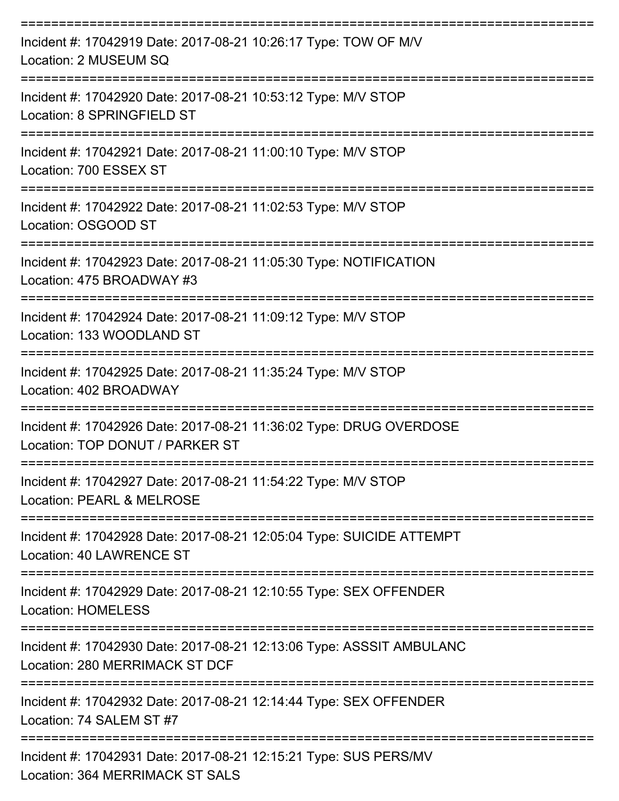| Incident #: 17042919 Date: 2017-08-21 10:26:17 Type: TOW OF M/V<br>Location: 2 MUSEUM SQ<br>==============================              |
|-----------------------------------------------------------------------------------------------------------------------------------------|
| Incident #: 17042920 Date: 2017-08-21 10:53:12 Type: M/V STOP<br>Location: 8 SPRINGFIELD ST                                             |
| Incident #: 17042921 Date: 2017-08-21 11:00:10 Type: M/V STOP<br>Location: 700 ESSEX ST                                                 |
| Incident #: 17042922 Date: 2017-08-21 11:02:53 Type: M/V STOP<br>Location: OSGOOD ST                                                    |
| =====================================<br>Incident #: 17042923 Date: 2017-08-21 11:05:30 Type: NOTIFICATION<br>Location: 475 BROADWAY #3 |
| Incident #: 17042924 Date: 2017-08-21 11:09:12 Type: M/V STOP<br>Location: 133 WOODLAND ST                                              |
| Incident #: 17042925 Date: 2017-08-21 11:35:24 Type: M/V STOP<br>Location: 402 BROADWAY                                                 |
| Incident #: 17042926 Date: 2017-08-21 11:36:02 Type: DRUG OVERDOSE<br>Location: TOP DONUT / PARKER ST                                   |
| Incident #: 17042927 Date: 2017-08-21 11:54:22 Type: M/V STOP<br>Location: PEARL & MELROSE                                              |
| Incident #: 17042928 Date: 2017-08-21 12:05:04 Type: SUICIDE ATTEMPT<br>Location: 40 LAWRENCE ST                                        |
| Incident #: 17042929 Date: 2017-08-21 12:10:55 Type: SEX OFFENDER<br><b>Location: HOMELESS</b>                                          |
| Incident #: 17042930 Date: 2017-08-21 12:13:06 Type: ASSSIT AMBULANC<br>Location: 280 MERRIMACK ST DCF                                  |
| Incident #: 17042932 Date: 2017-08-21 12:14:44 Type: SEX OFFENDER<br>Location: 74 SALEM ST #7                                           |
| Incident #: 17042931 Date: 2017-08-21 12:15:21 Type: SUS PERS/MV<br><b>Location: 364 MERRIMACK ST SALS</b>                              |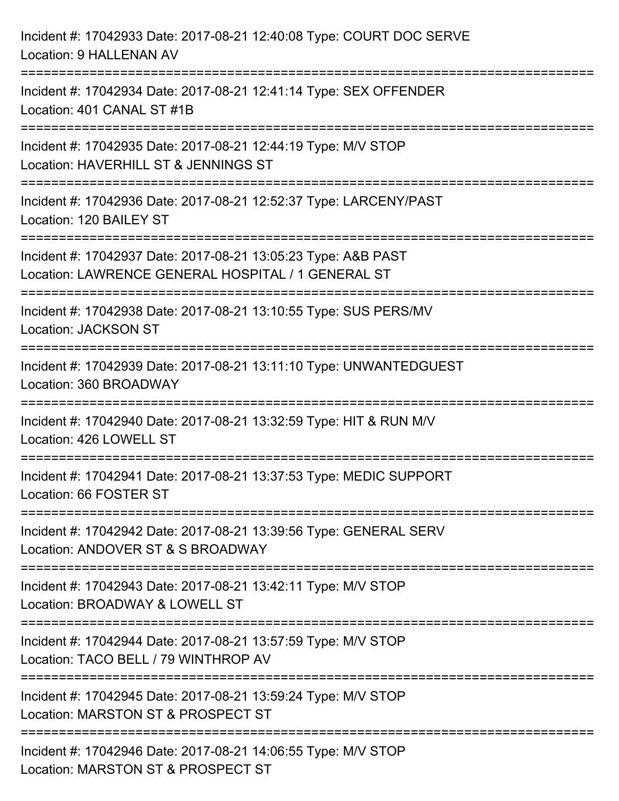| Incident #: 17042933 Date: 2017-08-21 12:40:08 Type: COURT DOC SERVE<br>Location: 9 HALLENAN AV                                          |
|------------------------------------------------------------------------------------------------------------------------------------------|
| Incident #: 17042934 Date: 2017-08-21 12:41:14 Type: SEX OFFENDER<br>Location: 401 CANAL ST #1B<br>------------------------------------- |
| Incident #: 17042935 Date: 2017-08-21 12:44:19 Type: M/V STOP<br>Location: HAVERHILL ST & JENNINGS ST                                    |
| Incident #: 17042936 Date: 2017-08-21 12:52:37 Type: LARCENY/PAST<br>Location: 120 BAILEY ST                                             |
| Incident #: 17042937 Date: 2017-08-21 13:05:23 Type: A&B PAST<br>Location: LAWRENCE GENERAL HOSPITAL / 1 GENERAL ST                      |
| Incident #: 17042938 Date: 2017-08-21 13:10:55 Type: SUS PERS/MV<br><b>Location: JACKSON ST</b>                                          |
| Incident #: 17042939 Date: 2017-08-21 13:11:10 Type: UNWANTEDGUEST<br>Location: 360 BROADWAY                                             |
| Incident #: 17042940 Date: 2017-08-21 13:32:59 Type: HIT & RUN M/V<br>Location: 426 LOWELL ST                                            |
| Incident #: 17042941 Date: 2017-08-21 13:37:53 Type: MEDIC SUPPORT<br>Location: 66 FOSTER ST                                             |
| Incident #: 17042942 Date: 2017-08-21 13:39:56 Type: GENERAL SERV<br>Location: ANDOVER ST & S BROADWAY                                   |
| Incident #: 17042943 Date: 2017-08-21 13:42:11 Type: M/V STOP<br>Location: BROADWAY & LOWELL ST                                          |
| Incident #: 17042944 Date: 2017-08-21 13:57:59 Type: M/V STOP<br>Location: TACO BELL / 79 WINTHROP AV                                    |
| Incident #: 17042945 Date: 2017-08-21 13:59:24 Type: M/V STOP<br>Location: MARSTON ST & PROSPECT ST                                      |
| Incident #: 17042946 Date: 2017-08-21 14:06:55 Type: M/V STOP<br>Location: MARSTON ST & PROSPECT ST                                      |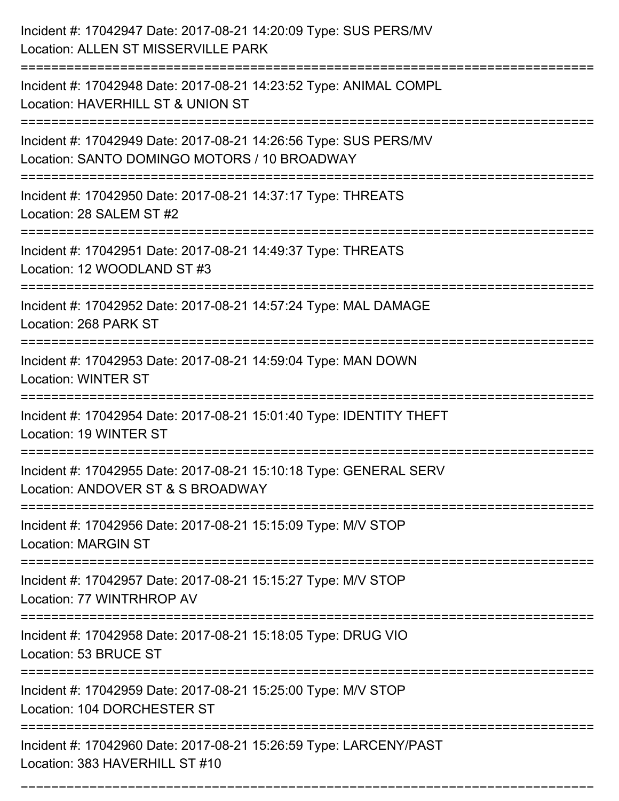| Incident #: 17042947 Date: 2017-08-21 14:20:09 Type: SUS PERS/MV<br>Location: ALLEN ST MISSERVILLE PARK          |
|------------------------------------------------------------------------------------------------------------------|
| Incident #: 17042948 Date: 2017-08-21 14:23:52 Type: ANIMAL COMPL<br>Location: HAVERHILL ST & UNION ST           |
| Incident #: 17042949 Date: 2017-08-21 14:26:56 Type: SUS PERS/MV<br>Location: SANTO DOMINGO MOTORS / 10 BROADWAY |
| Incident #: 17042950 Date: 2017-08-21 14:37:17 Type: THREATS<br>Location: 28 SALEM ST #2                         |
| Incident #: 17042951 Date: 2017-08-21 14:49:37 Type: THREATS<br>Location: 12 WOODLAND ST #3                      |
| Incident #: 17042952 Date: 2017-08-21 14:57:24 Type: MAL DAMAGE<br>Location: 268 PARK ST                         |
| Incident #: 17042953 Date: 2017-08-21 14:59:04 Type: MAN DOWN<br><b>Location: WINTER ST</b>                      |
| Incident #: 17042954 Date: 2017-08-21 15:01:40 Type: IDENTITY THEFT<br>Location: 19 WINTER ST                    |
| Incident #: 17042955 Date: 2017-08-21 15:10:18 Type: GENERAL SERV<br>Location: ANDOVER ST & S BROADWAY           |
| Incident #: 17042956 Date: 2017-08-21 15:15:09 Type: M/V STOP<br><b>Location: MARGIN ST</b>                      |
| Incident #: 17042957 Date: 2017-08-21 15:15:27 Type: M/V STOP<br>Location: 77 WINTRHROP AV                       |
| Incident #: 17042958 Date: 2017-08-21 15:18:05 Type: DRUG VIO<br>Location: 53 BRUCE ST<br>--------------         |
| Incident #: 17042959 Date: 2017-08-21 15:25:00 Type: M/V STOP<br>Location: 104 DORCHESTER ST                     |
| Incident #: 17042960 Date: 2017-08-21 15:26:59 Type: LARCENY/PAST<br>Location: 383 HAVERHILL ST #10              |

===========================================================================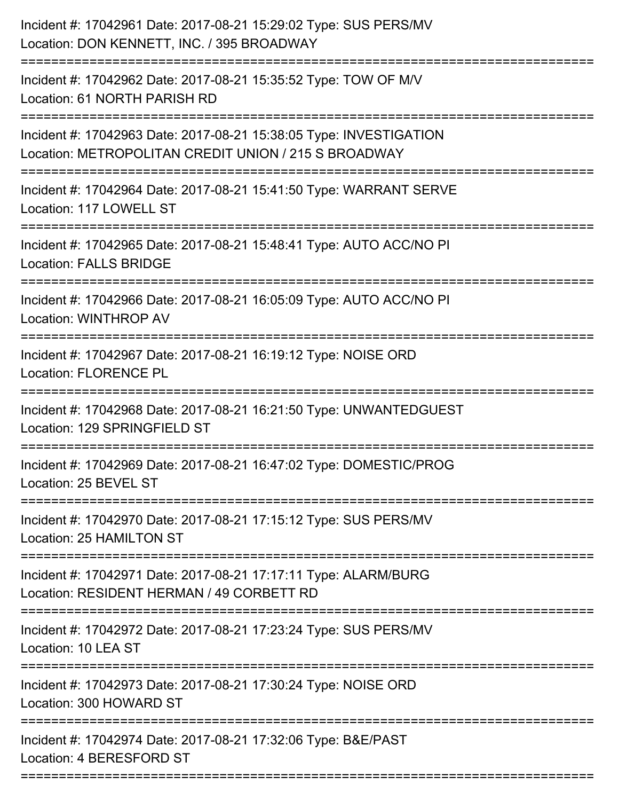| Incident #: 17042961 Date: 2017-08-21 15:29:02 Type: SUS PERS/MV<br>Location: DON KENNETT, INC. / 395 BROADWAY             |
|----------------------------------------------------------------------------------------------------------------------------|
| Incident #: 17042962 Date: 2017-08-21 15:35:52 Type: TOW OF M/V<br>Location: 61 NORTH PARISH RD                            |
| Incident #: 17042963 Date: 2017-08-21 15:38:05 Type: INVESTIGATION<br>Location: METROPOLITAN CREDIT UNION / 215 S BROADWAY |
| Incident #: 17042964 Date: 2017-08-21 15:41:50 Type: WARRANT SERVE<br>Location: 117 LOWELL ST                              |
| Incident #: 17042965 Date: 2017-08-21 15:48:41 Type: AUTO ACC/NO PI<br><b>Location: FALLS BRIDGE</b>                       |
| Incident #: 17042966 Date: 2017-08-21 16:05:09 Type: AUTO ACC/NO PI<br><b>Location: WINTHROP AV</b>                        |
| Incident #: 17042967 Date: 2017-08-21 16:19:12 Type: NOISE ORD<br><b>Location: FLORENCE PL</b>                             |
| Incident #: 17042968 Date: 2017-08-21 16:21:50 Type: UNWANTEDGUEST<br>Location: 129 SPRINGFIELD ST                         |
| Incident #: 17042969 Date: 2017-08-21 16:47:02 Type: DOMESTIC/PROG<br>Location: 25 BEVEL ST                                |
| Incident #: 17042970 Date: 2017-08-21 17:15:12 Type: SUS PERS/MV<br>Location: 25 HAMILTON ST                               |
| Incident #: 17042971 Date: 2017-08-21 17:17:11 Type: ALARM/BURG<br>Location: RESIDENT HERMAN / 49 CORBETT RD               |
| Incident #: 17042972 Date: 2017-08-21 17:23:24 Type: SUS PERS/MV<br>Location: 10 LEA ST<br>-----------------------         |
| Incident #: 17042973 Date: 2017-08-21 17:30:24 Type: NOISE ORD<br>Location: 300 HOWARD ST                                  |
| Incident #: 17042974 Date: 2017-08-21 17:32:06 Type: B&E/PAST<br>Location: 4 BERESFORD ST                                  |
|                                                                                                                            |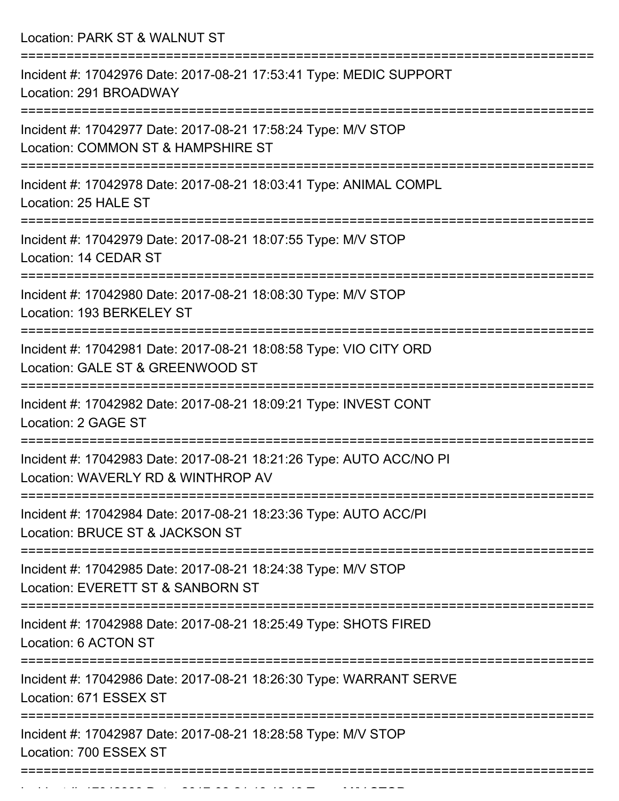Location: PARK ST & WALNUT ST =========================================================================== Incident #: 17042976 Date: 2017-08-21 17:53:41 Type: MEDIC SUPPORT Location: 291 BROADWAY =========================================================================== Incident #: 17042977 Date: 2017-08-21 17:58:24 Type: M/V STOP Location: COMMON ST & HAMPSHIRE ST =========================================================================== Incident #: 17042978 Date: 2017-08-21 18:03:41 Type: ANIMAL COMPL Location: 25 HALF ST =========================================================================== Incident #: 17042979 Date: 2017-08-21 18:07:55 Type: M/V STOP Location: 14 CEDAR ST =========================================================================== Incident #: 17042980 Date: 2017-08-21 18:08:30 Type: M/V STOP Location: 193 BERKELEY ST =========================================================================== Incident #: 17042981 Date: 2017-08-21 18:08:58 Type: VIO CITY ORD Location: GALE ST & GREENWOOD ST =========================================================================== Incident #: 17042982 Date: 2017-08-21 18:09:21 Type: INVEST CONT Location: 2 GAGE ST =========================================================================== Incident #: 17042983 Date: 2017-08-21 18:21:26 Type: AUTO ACC/NO PI Location: WAVERLY RD & WINTHROP AV =========================================================================== Incident #: 17042984 Date: 2017-08-21 18:23:36 Type: AUTO ACC/PI Location: BRUCE ST & JACKSON ST =========================================================================== Incident #: 17042985 Date: 2017-08-21 18:24:38 Type: M/V STOP Location: EVERETT ST & SANBORN ST =========================================================================== Incident #: 17042988 Date: 2017-08-21 18:25:49 Type: SHOTS FIRED Location: 6 ACTON ST =========================================================================== Incident #: 17042986 Date: 2017-08-21 18:26:30 Type: WARRANT SERVE Location: 671 ESSEX ST =========================================================================== Incident #: 17042987 Date: 2017-08-21 18:28:58 Type: M/V STOP Location: 700 ESSEX ST

===========================================================================

Incident #: 17042989 Date: 2017 08 21 18:43:43:43 Type: Microsoft.com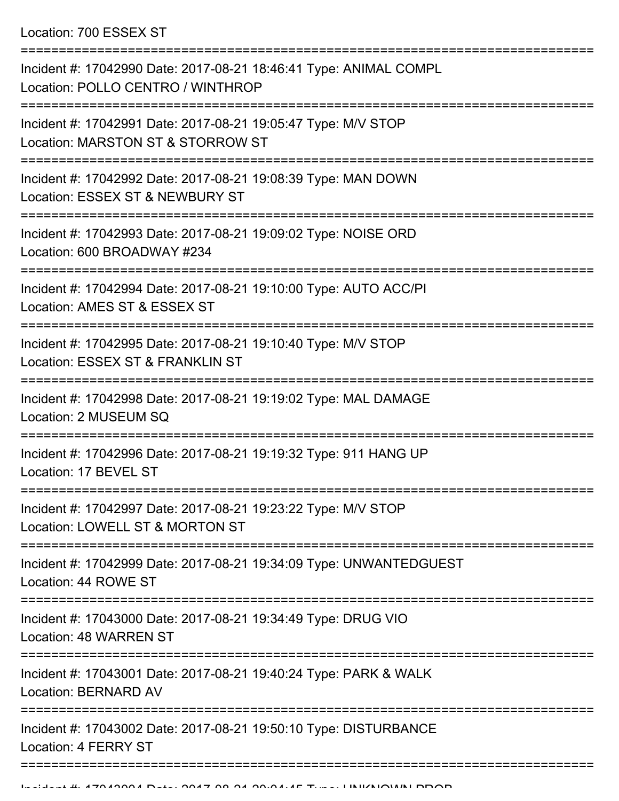| Incident #: 17042990 Date: 2017-08-21 18:46:41 Type: ANIMAL COMPL<br>Location: POLLO CENTRO / WINTHROP |
|--------------------------------------------------------------------------------------------------------|
| Incident #: 17042991 Date: 2017-08-21 19:05:47 Type: M/V STOP<br>Location: MARSTON ST & STORROW ST     |
| Incident #: 17042992 Date: 2017-08-21 19:08:39 Type: MAN DOWN<br>Location: ESSEX ST & NEWBURY ST       |
| Incident #: 17042993 Date: 2017-08-21 19:09:02 Type: NOISE ORD<br>Location: 600 BROADWAY #234          |
| Incident #: 17042994 Date: 2017-08-21 19:10:00 Type: AUTO ACC/PI<br>Location: AMES ST & ESSEX ST       |
| Incident #: 17042995 Date: 2017-08-21 19:10:40 Type: M/V STOP<br>Location: ESSEX ST & FRANKLIN ST      |
| Incident #: 17042998 Date: 2017-08-21 19:19:02 Type: MAL DAMAGE<br>Location: 2 MUSEUM SQ               |
| Incident #: 17042996 Date: 2017-08-21 19:19:32 Type: 911 HANG UP<br>Location: 17 BEVEL ST              |
| Incident #: 17042997 Date: 2017-08-21 19:23:22 Type: M/V STOP<br>Location: LOWELL ST & MORTON ST       |
| Incident #: 17042999 Date: 2017-08-21 19:34:09 Type: UNWANTEDGUEST<br>Location: 44 ROWE ST             |
| Incident #: 17043000 Date: 2017-08-21 19:34:49 Type: DRUG VIO<br>Location: 48 WARREN ST                |
| Incident #: 17043001 Date: 2017-08-21 19:40:24 Type: PARK & WALK<br>Location: BERNARD AV               |
| Incident #: 17043002 Date: 2017-08-21 19:50:10 Type: DISTURBANCE<br>Location: 4 FERRY ST               |
|                                                                                                        |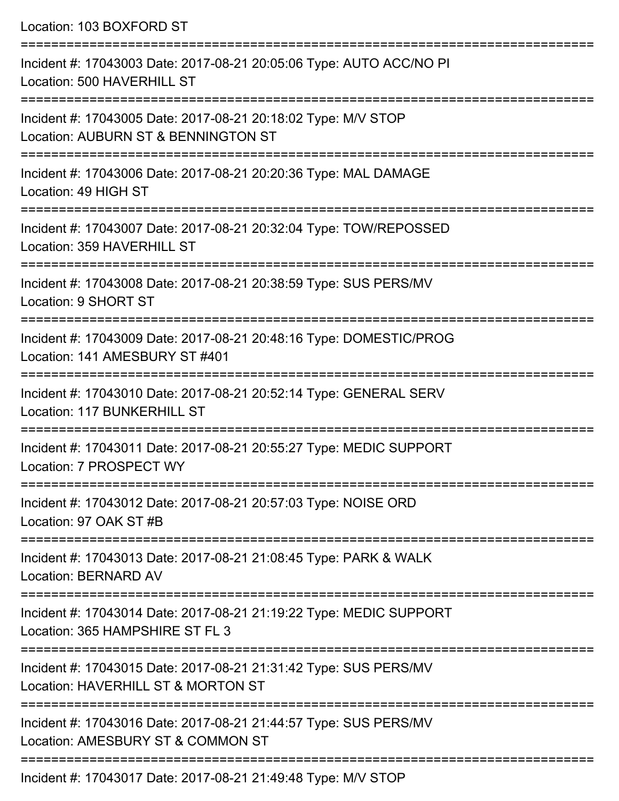Location: 103 BOXFORD ST

=========================================================================== Incident #: 17043003 Date: 2017-08-21 20:05:06 Type: AUTO ACC/NO PI Location: 500 HAVERHILL ST =========================================================================== Incident #: 17043005 Date: 2017-08-21 20:18:02 Type: M/V STOP Location: AUBURN ST & BENNINGTON ST =========================================================================== Incident #: 17043006 Date: 2017-08-21 20:20:36 Type: MAL DAMAGE Location: 49 HIGH ST =========================================================================== Incident #: 17043007 Date: 2017-08-21 20:32:04 Type: TOW/REPOSSED Location: 359 HAVERHILL ST =========================================================================== Incident #: 17043008 Date: 2017-08-21 20:38:59 Type: SUS PERS/MV Location: 9 SHORT ST =========================================================================== Incident #: 17043009 Date: 2017-08-21 20:48:16 Type: DOMESTIC/PROG Location: 141 AMESBURY ST #401 =========================================================================== Incident #: 17043010 Date: 2017-08-21 20:52:14 Type: GENERAL SERV Location: 117 BUNKERHILL ST =========================================================================== Incident #: 17043011 Date: 2017-08-21 20:55:27 Type: MEDIC SUPPORT Location: 7 PROSPECT WY =========================================================================== Incident #: 17043012 Date: 2017-08-21 20:57:03 Type: NOISE ORD Location: 97 OAK ST #B =========================================================================== Incident #: 17043013 Date: 2017-08-21 21:08:45 Type: PARK & WALK Location: BERNARD AV =========================================================================== Incident #: 17043014 Date: 2017-08-21 21:19:22 Type: MEDIC SUPPORT Location: 365 HAMPSHIRF ST FL 3 =========================================================================== Incident #: 17043015 Date: 2017-08-21 21:31:42 Type: SUS PERS/MV Location: HAVERHILL ST & MORTON ST =========================================================================== Incident #: 17043016 Date: 2017-08-21 21:44:57 Type: SUS PERS/MV Location: AMESBURY ST & COMMON ST =========================================================================== Incident #: 17043017 Date: 2017-08-21 21:49:48 Type: M/V STOP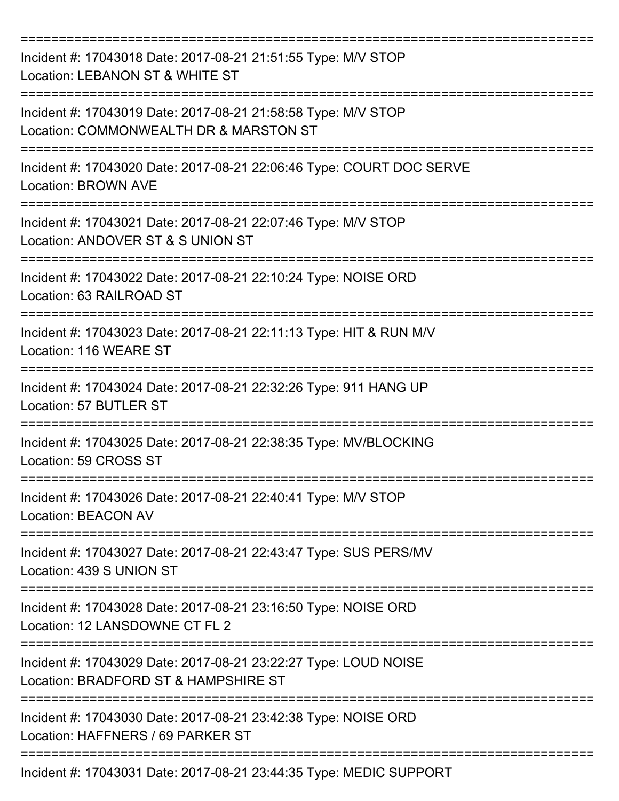| Incident #: 17043018 Date: 2017-08-21 21:51:55 Type: M/V STOP<br>Location: LEBANON ST & WHITE ST        |
|---------------------------------------------------------------------------------------------------------|
| Incident #: 17043019 Date: 2017-08-21 21:58:58 Type: M/V STOP<br>Location: COMMONWEALTH DR & MARSTON ST |
| Incident #: 17043020 Date: 2017-08-21 22:06:46 Type: COURT DOC SERVE<br><b>Location: BROWN AVE</b>      |
| Incident #: 17043021 Date: 2017-08-21 22:07:46 Type: M/V STOP<br>Location: ANDOVER ST & S UNION ST      |
| Incident #: 17043022 Date: 2017-08-21 22:10:24 Type: NOISE ORD<br>Location: 63 RAILROAD ST              |
| Incident #: 17043023 Date: 2017-08-21 22:11:13 Type: HIT & RUN M/V<br>Location: 116 WEARE ST            |
| Incident #: 17043024 Date: 2017-08-21 22:32:26 Type: 911 HANG UP<br>Location: 57 BUTLER ST              |
| Incident #: 17043025 Date: 2017-08-21 22:38:35 Type: MV/BLOCKING<br>Location: 59 CROSS ST               |
| Incident #: 17043026 Date: 2017-08-21 22:40:41 Type: M/V STOP<br><b>Location: BEACON AV</b>             |
| Incident #: 17043027 Date: 2017-08-21 22:43:47 Type: SUS PERS/MV<br>Location: 439 S UNION ST            |
| Incident #: 17043028 Date: 2017-08-21 23:16:50 Type: NOISE ORD<br>Location: 12 LANSDOWNE CT FL 2        |
| Incident #: 17043029 Date: 2017-08-21 23:22:27 Type: LOUD NOISE<br>Location: BRADFORD ST & HAMPSHIRE ST |
| Incident #: 17043030 Date: 2017-08-21 23:42:38 Type: NOISE ORD<br>Location: HAFFNERS / 69 PARKER ST     |
| Incident #: 17043031 Date: 2017-08-21 23:44:35 Type: MEDIC SUPPORT                                      |